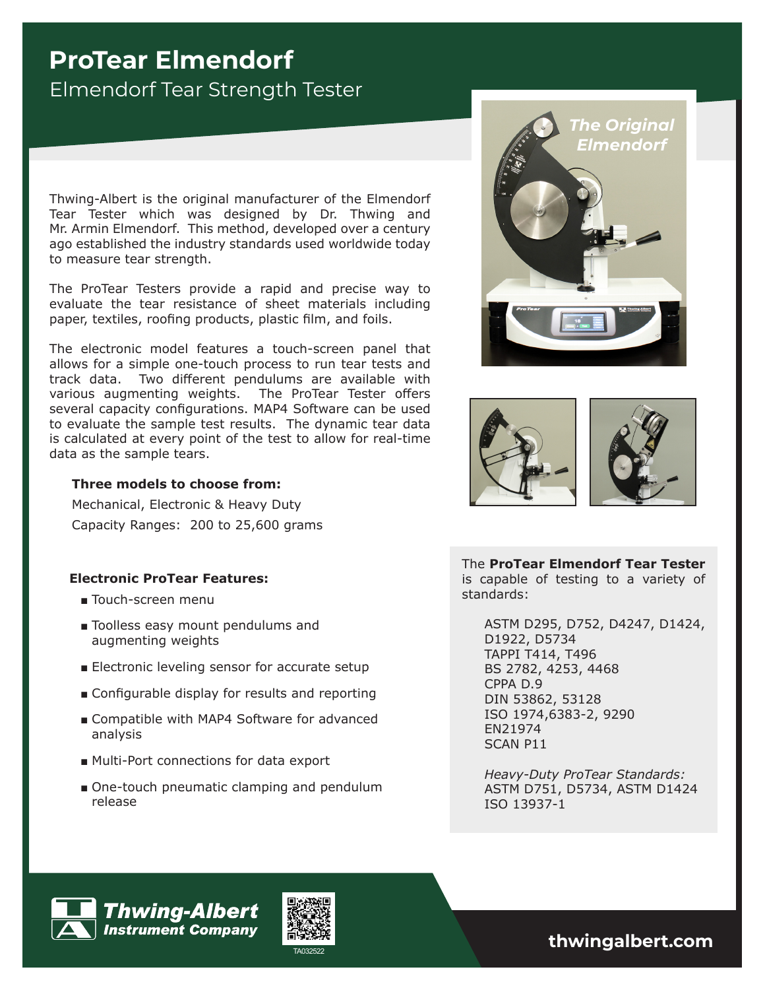# **ProTear Elmendorf** Elmendorf Tear Strength Tester

Thwing-Albert is the original manufacturer of the Elmendorf Tear Tester which was designed by Dr. Thwing and Mr. Armin Elmendorf. This method, developed over a century ago established the industry standards used worldwide today to measure tear strength.

The ProTear Testers provide a rapid and precise way to evaluate the tear resistance of sheet materials including paper, textiles, roofing products, plastic film, and foils.

The electronic model features a touch-screen panel that allows for a simple one-touch process to run tear tests and track data. Two different pendulums are available with various augmenting weights. The ProTear Tester offers several capacity configurations. MAP4 Software can be used to evaluate the sample test results. The dynamic tear data is calculated at every point of the test to allow for real-time data as the sample tears.

## **Three models to choose from:**

Mechanical, Electronic & Heavy Duty Capacity Ranges: 200 to 25,600 grams

## **Electronic ProTear Features:**

- Touch-screen menu
- Toolless easy mount pendulums and augmenting weights
- Electronic leveling sensor for accurate setup
- Configurable display for results and reporting
- Compatible with MAP4 Software for advanced analysis
- Multi-Port connections for data export
- One-touch pneumatic clamping and pendulum release





The **ProTear Elmendorf Tear Tester**  is capable of testing to a variety of standards:

ASTM D295, D752, D4247, D1424, D1922, D5734 TAPPI T414, T496 BS 2782, 4253, 4468 CPPA D.9 DIN 53862, 53128 ISO 1974,6383-2, 9290 EN21974 SCAN P11

*Heavy-Duty ProTear Standards:*  ASTM D751, D5734, ASTM D1424 ISO 13937-1





TA032522 **thwingalbert.com**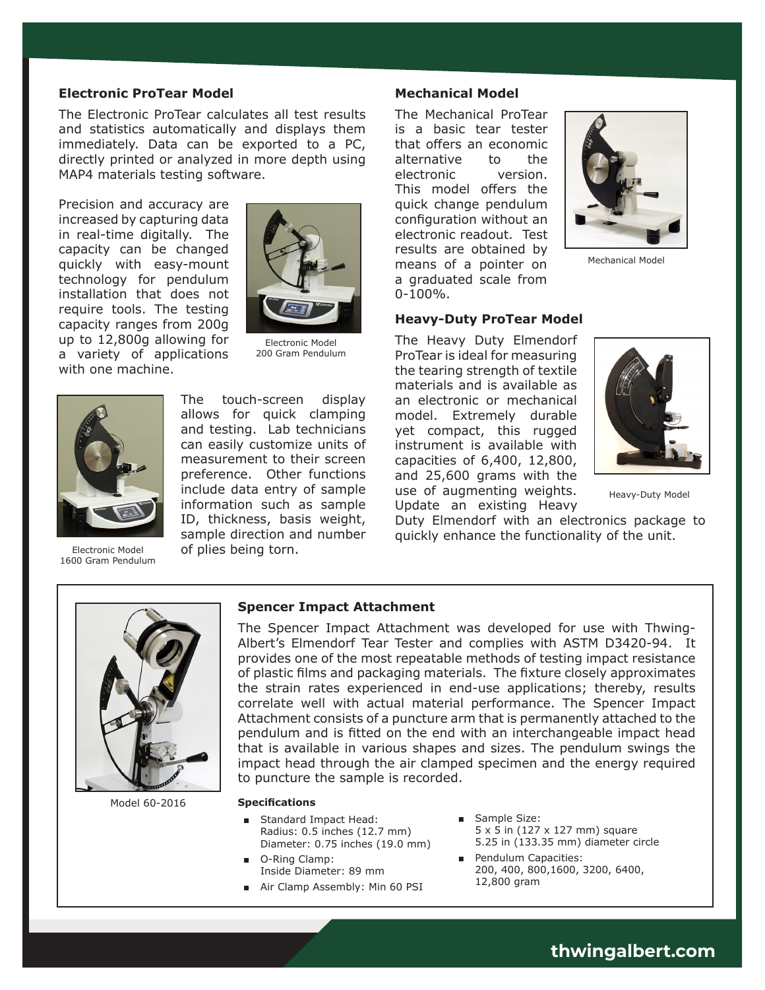#### **Electronic ProTear Model**

The Electronic ProTear calculates all test results and statistics automatically and displays them immediately. Data can be exported to a PC, directly printed or analyzed in more depth using MAP4 materials testing software.

Precision and accuracy are increased by capturing data in real-time digitally. The capacity can be changed quickly with easy-mount technology for pendulum installation that does not require tools. The testing capacity ranges from 200g up to 12,800g allowing for a variety of applications with one machine.



Electronic Model 200 Gram Pendulum



Electronic Model 1600 Gram Pendulum

The touch-screen display allows for quick clamping and testing. Lab technicians can easily customize units of measurement to their screen preference. Other functions include data entry of sample information such as sample ID, thickness, basis weight, sample direction and number of plies being torn.

#### **Mechanical Model**

The Mechanical ProTear is a basic tear tester that offers an economic alternative to the electronic version. This model offers the quick change pendulum configuration without an electronic readout. Test results are obtained by means of a pointer on a graduated scale from  $0-100%$ .



Mechanical Model

#### **Heavy-Duty ProTear Model**

The Heavy Duty Elmendorf ProTear is ideal for measuring the tearing strength of textile materials and is available as an electronic or mechanical model. Extremely durable yet compact, this rugged instrument is available with capacities of 6,400, 12,800, and 25,600 grams with the use of augmenting weights. Update an existing Heavy



Heavy-Duty Model

Duty Elmendorf with an electronics package to quickly enhance the functionality of the unit.



Model 60-2016

#### **Spencer Impact Attachment**

The Spencer Impact Attachment was developed for use with Thwing-Albert's Elmendorf Tear Tester and complies with ASTM D3420-94. It provides one of the most repeatable methods of testing impact resistance of plastic films and packaging materials. The fixture closely approximates the strain rates experienced in end-use applications; thereby, results correlate well with actual material performance. The Spencer Impact Attachment consists of a puncture arm that is permanently attached to the pendulum and is fitted on the end with an interchangeable impact head that is available in various shapes and sizes. The pendulum swings the impact head through the air clamped specimen and the energy required to puncture the sample is recorded.

#### **Specifications**

- Standard Impact Head: Radius: 0.5 inches (12.7 mm) Diameter: 0.75 inches (19.0 mm)
- O-Ring Clamp: Inside Diameter: 89 mm
- Air Clamp Assembly: Min 60 PSI
- Sample Size: 5 x 5 in (127 x 127 mm) square 5.25 in (133.35 mm) diameter circle
- Pendulum Capacities: 200, 400, 800,1600, 3200, 6400, 12,800 gram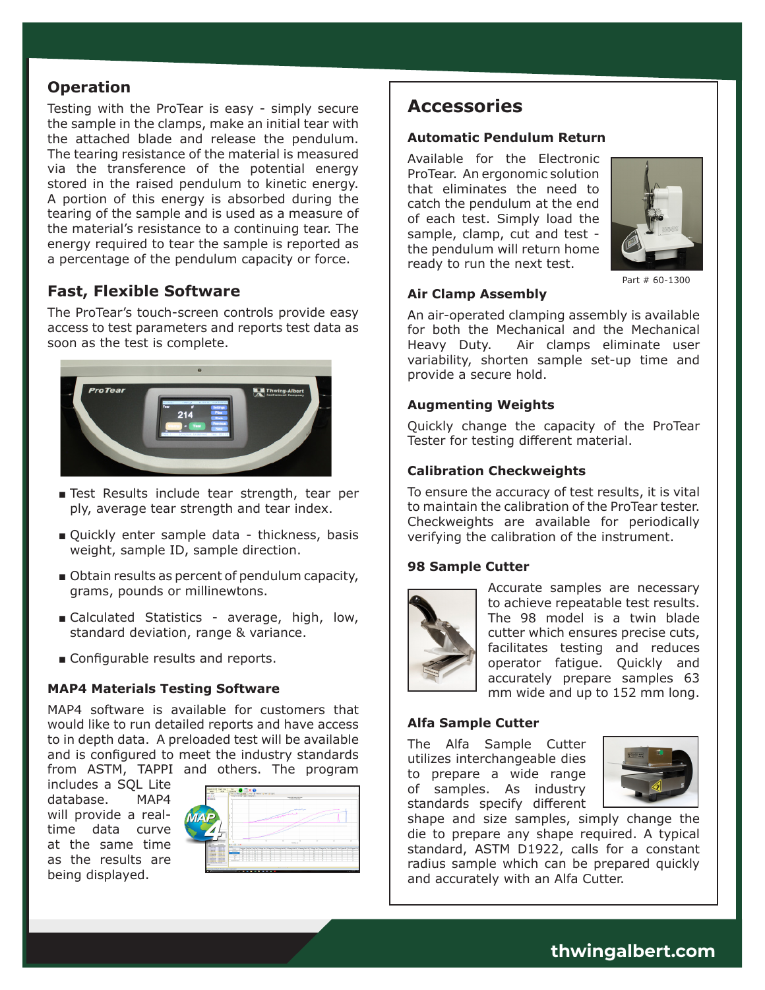## **Operation**

Testing with the ProTear is easy - simply secure the sample in the clamps, make an initial tear with the attached blade and release the pendulum. The tearing resistance of the material is measured via the transference of the potential energy stored in the raised pendulum to kinetic energy. A portion of this energy is absorbed during the tearing of the sample and is used as a measure of the material's resistance to a continuing tear. The energy required to tear the sample is reported as a percentage of the pendulum capacity or force.

# **Fast, Flexible Software**

The ProTear's touch-screen controls provide easy access to test parameters and reports test data as soon as the test is complete.



- Test Results include tear strength, tear per ply, average tear strength and tear index.
- Quickly enter sample data thickness, basis weight, sample ID, sample direction.
- Obtain results as percent of pendulum capacity, grams, pounds or millinewtons.
- Calculated Statistics average, high, low, standard deviation, range & variance.
- Configurable results and reports.

## **MAP4 Materials Testing Software**

MAP4 software is available for customers that would like to run detailed reports and have access to in depth data. A preloaded test will be available and is configured to meet the industry standards from ASTM, TAPPI and others. The program

includes a SQL Lite database. MAP4 will provide a realtime data curve at the same time as the results are being displayed.



# **Accessories**

## **Automatic Pendulum Return**

Available for the Electronic ProTear. An ergonomic solution that eliminates the need to catch the pendulum at the end of each test. Simply load the sample, clamp, cut and test the pendulum will return home ready to run the next test.



Part # 60-1300

## **Air Clamp Assembly**

An air-operated clamping assembly is available for both the Mechanical and the Mechanical Heavy Duty. Air clamps eliminate user variability, shorten sample set-up time and provide a secure hold.

#### **Augmenting Weights**

Quickly change the capacity of the ProTear Tester for testing different material.

## **Calibration Checkweights**

To ensure the accuracy of test results, it is vital to maintain the calibration of the ProTear tester. Checkweights are available for periodically verifying the calibration of the instrument.

## **98 Sample Cutter**



Accurate samples are necessary to achieve repeatable test results. The 98 model is a twin blade cutter which ensures precise cuts, facilitates testing and reduces operator fatigue. Quickly and accurately prepare samples 63 mm wide and up to 152 mm long.

## **Alfa Sample Cutter**

The Alfa Sample Cutter utilizes interchangeable dies to prepare a wide range of samples. As industry standards specify different



shape and size samples, simply change the die to prepare any shape required. A typical standard, ASTM D1922, calls for a constant radius sample which can be prepared quickly and accurately with an Alfa Cutter.